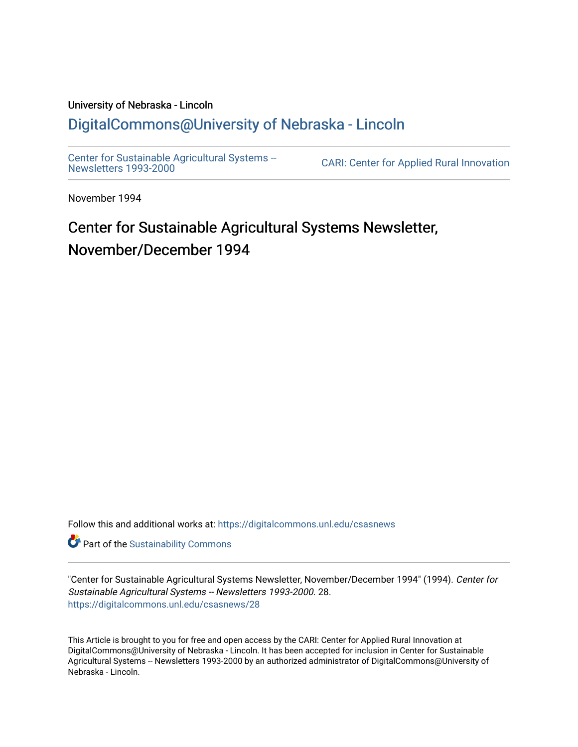# University of Nebraska - Lincoln [DigitalCommons@University of Nebraska - Lincoln](https://digitalcommons.unl.edu/)

[Center for Sustainable Agricultural Systems --](https://digitalcommons.unl.edu/csasnews)<br>Newsletters 1993-2000

CARI: Center for Applied Rural Innovation

November 1994

# Center for Sustainable Agricultural Systems Newsletter, November/December 1994

Follow this and additional works at: [https://digitalcommons.unl.edu/csasnews](https://digitalcommons.unl.edu/csasnews?utm_source=digitalcommons.unl.edu%2Fcsasnews%2F28&utm_medium=PDF&utm_campaign=PDFCoverPages) 

**Part of the [Sustainability Commons](http://network.bepress.com/hgg/discipline/1031?utm_source=digitalcommons.unl.edu%2Fcsasnews%2F28&utm_medium=PDF&utm_campaign=PDFCoverPages)** 

"Center for Sustainable Agricultural Systems Newsletter, November/December 1994" (1994). Center for Sustainable Agricultural Systems -- Newsletters 1993-2000. 28. [https://digitalcommons.unl.edu/csasnews/28](https://digitalcommons.unl.edu/csasnews/28?utm_source=digitalcommons.unl.edu%2Fcsasnews%2F28&utm_medium=PDF&utm_campaign=PDFCoverPages) 

This Article is brought to you for free and open access by the CARI: Center for Applied Rural Innovation at DigitalCommons@University of Nebraska - Lincoln. It has been accepted for inclusion in Center for Sustainable Agricultural Systems -- Newsletters 1993-2000 by an authorized administrator of DigitalCommons@University of Nebraska - Lincoln.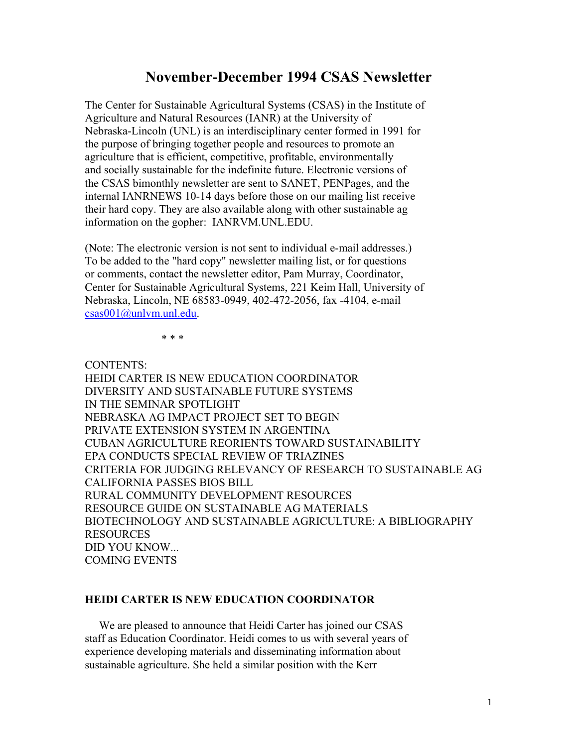# **November-December 1994 CSAS Newsletter**

The Center for Sustainable Agricultural Systems (CSAS) in the Institute of Agriculture and Natural Resources (IANR) at the University of Nebraska-Lincoln (UNL) is an interdisciplinary center formed in 1991 for the purpose of bringing together people and resources to promote an agriculture that is efficient, competitive, profitable, environmentally and socially sustainable for the indefinite future. Electronic versions of the CSAS bimonthly newsletter are sent to SANET, PENPages, and the internal IANRNEWS 10-14 days before those on our mailing list receive their hard copy. They are also available along with other sustainable ag information on the gopher: IANRVM.UNL.EDU.

(Note: The electronic version is not sent to individual e-mail addresses.) To be added to the "hard copy" newsletter mailing list, or for questions or comments, contact the newsletter editor, Pam Murray, Coordinator, Center for Sustainable Agricultural Systems, 221 Keim Hall, University of Nebraska, Lincoln, NE 68583-0949, 402-472-2056, fax -4104, e-mail csas001@unlvm.unl.edu.

\* \* \*

CONTENTS: HEIDI CARTER IS NEW EDUCATION COORDINATOR DIVERSITY AND SUSTAINABLE FUTURE SYSTEMS IN THE SEMINAR SPOTLIGHT NEBRASKA AG IMPACT PROJECT SET TO BEGIN PRIVATE EXTENSION SYSTEM IN ARGENTINA CUBAN AGRICULTURE REORIENTS TOWARD SUSTAINABILITY EPA CONDUCTS SPECIAL REVIEW OF TRIAZINES CRITERIA FOR JUDGING RELEVANCY OF RESEARCH TO SUSTAINABLE AG CALIFORNIA PASSES BIOS BILL RURAL COMMUNITY DEVELOPMENT RESOURCES RESOURCE GUIDE ON SUSTAINABLE AG MATERIALS BIOTECHNOLOGY AND SUSTAINABLE AGRICULTURE: A BIBLIOGRAPHY RESOURCES DID YOU KNOW... COMING EVENTS

#### **HEIDI CARTER IS NEW EDUCATION COORDINATOR**

 We are pleased to announce that Heidi Carter has joined our CSAS staff as Education Coordinator. Heidi comes to us with several years of experience developing materials and disseminating information about sustainable agriculture. She held a similar position with the Kerr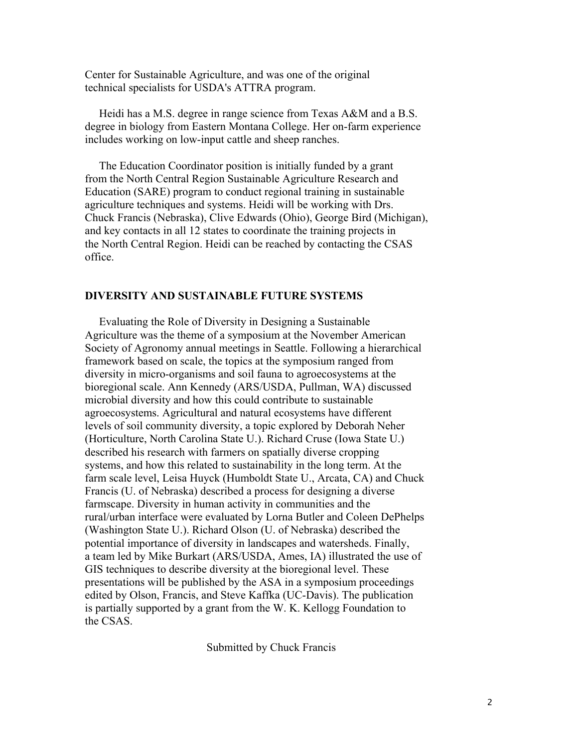Center for Sustainable Agriculture, and was one of the original technical specialists for USDA's ATTRA program.

 Heidi has a M.S. degree in range science from Texas A&M and a B.S. degree in biology from Eastern Montana College. Her on-farm experience includes working on low-input cattle and sheep ranches.

 The Education Coordinator position is initially funded by a grant from the North Central Region Sustainable Agriculture Research and Education (SARE) program to conduct regional training in sustainable agriculture techniques and systems. Heidi will be working with Drs. Chuck Francis (Nebraska), Clive Edwards (Ohio), George Bird (Michigan), and key contacts in all 12 states to coordinate the training projects in the North Central Region. Heidi can be reached by contacting the CSAS office.

#### **DIVERSITY AND SUSTAINABLE FUTURE SYSTEMS**

 Evaluating the Role of Diversity in Designing a Sustainable Agriculture was the theme of a symposium at the November American Society of Agronomy annual meetings in Seattle. Following a hierarchical framework based on scale, the topics at the symposium ranged from diversity in micro-organisms and soil fauna to agroecosystems at the bioregional scale. Ann Kennedy (ARS/USDA, Pullman, WA) discussed microbial diversity and how this could contribute to sustainable agroecosystems. Agricultural and natural ecosystems have different levels of soil community diversity, a topic explored by Deborah Neher (Horticulture, North Carolina State U.). Richard Cruse (Iowa State U.) described his research with farmers on spatially diverse cropping systems, and how this related to sustainability in the long term. At the farm scale level, Leisa Huyck (Humboldt State U., Arcata, CA) and Chuck Francis (U. of Nebraska) described a process for designing a diverse farmscape. Diversity in human activity in communities and the rural/urban interface were evaluated by Lorna Butler and Coleen DePhelps (Washington State U.). Richard Olson (U. of Nebraska) described the potential importance of diversity in landscapes and watersheds. Finally, a team led by Mike Burkart (ARS/USDA, Ames, IA) illustrated the use of GIS techniques to describe diversity at the bioregional level. These presentations will be published by the ASA in a symposium proceedings edited by Olson, Francis, and Steve Kaffka (UC-Davis). The publication is partially supported by a grant from the W. K. Kellogg Foundation to the CSAS.

Submitted by Chuck Francis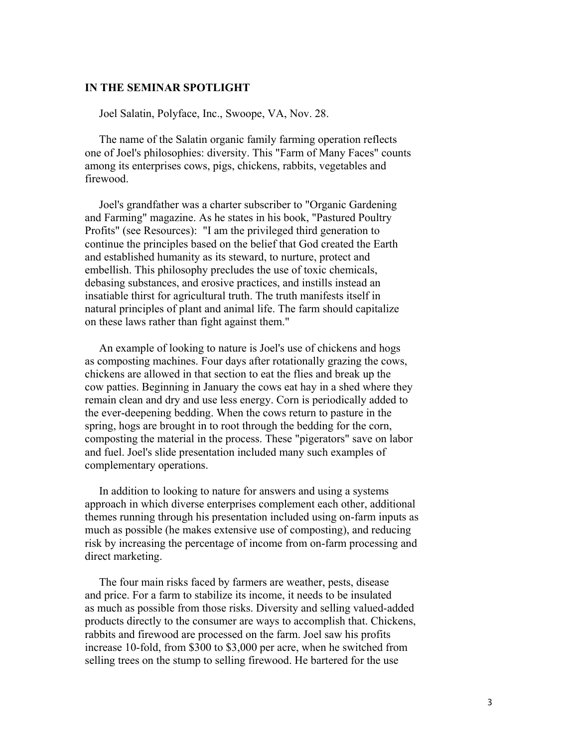#### **IN THE SEMINAR SPOTLIGHT**

Joel Salatin, Polyface, Inc., Swoope, VA, Nov. 28.

 The name of the Salatin organic family farming operation reflects one of Joel's philosophies: diversity. This "Farm of Many Faces" counts among its enterprises cows, pigs, chickens, rabbits, vegetables and firewood.

 Joel's grandfather was a charter subscriber to "Organic Gardening and Farming" magazine. As he states in his book, "Pastured Poultry Profits" (see Resources): "I am the privileged third generation to continue the principles based on the belief that God created the Earth and established humanity as its steward, to nurture, protect and embellish. This philosophy precludes the use of toxic chemicals, debasing substances, and erosive practices, and instills instead an insatiable thirst for agricultural truth. The truth manifests itself in natural principles of plant and animal life. The farm should capitalize on these laws rather than fight against them."

 An example of looking to nature is Joel's use of chickens and hogs as composting machines. Four days after rotationally grazing the cows, chickens are allowed in that section to eat the flies and break up the cow patties. Beginning in January the cows eat hay in a shed where they remain clean and dry and use less energy. Corn is periodically added to the ever-deepening bedding. When the cows return to pasture in the spring, hogs are brought in to root through the bedding for the corn, composting the material in the process. These "pigerators" save on labor and fuel. Joel's slide presentation included many such examples of complementary operations.

 In addition to looking to nature for answers and using a systems approach in which diverse enterprises complement each other, additional themes running through his presentation included using on-farm inputs as much as possible (he makes extensive use of composting), and reducing risk by increasing the percentage of income from on-farm processing and direct marketing.

 The four main risks faced by farmers are weather, pests, disease and price. For a farm to stabilize its income, it needs to be insulated as much as possible from those risks. Diversity and selling valued-added products directly to the consumer are ways to accomplish that. Chickens, rabbits and firewood are processed on the farm. Joel saw his profits increase 10-fold, from \$300 to \$3,000 per acre, when he switched from selling trees on the stump to selling firewood. He bartered for the use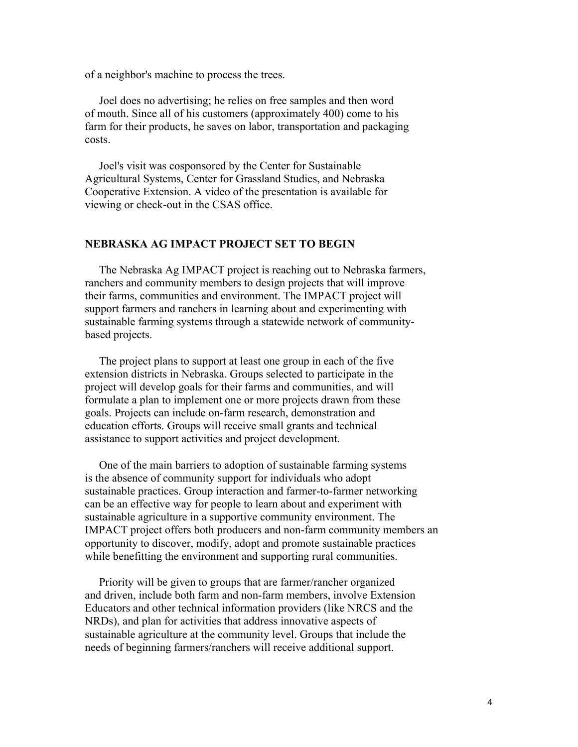of a neighbor's machine to process the trees.

 Joel does no advertising; he relies on free samples and then word of mouth. Since all of his customers (approximately 400) come to his farm for their products, he saves on labor, transportation and packaging costs.

 Joel's visit was cosponsored by the Center for Sustainable Agricultural Systems, Center for Grassland Studies, and Nebraska Cooperative Extension. A video of the presentation is available for viewing or check-out in the CSAS office.

#### **NEBRASKA AG IMPACT PROJECT SET TO BEGIN**

 The Nebraska Ag IMPACT project is reaching out to Nebraska farmers, ranchers and community members to design projects that will improve their farms, communities and environment. The IMPACT project will support farmers and ranchers in learning about and experimenting with sustainable farming systems through a statewide network of communitybased projects.

 The project plans to support at least one group in each of the five extension districts in Nebraska. Groups selected to participate in the project will develop goals for their farms and communities, and will formulate a plan to implement one or more projects drawn from these goals. Projects can include on-farm research, demonstration and education efforts. Groups will receive small grants and technical assistance to support activities and project development.

 One of the main barriers to adoption of sustainable farming systems is the absence of community support for individuals who adopt sustainable practices. Group interaction and farmer-to-farmer networking can be an effective way for people to learn about and experiment with sustainable agriculture in a supportive community environment. The IMPACT project offers both producers and non-farm community members an opportunity to discover, modify, adopt and promote sustainable practices while benefitting the environment and supporting rural communities.

 Priority will be given to groups that are farmer/rancher organized and driven, include both farm and non-farm members, involve Extension Educators and other technical information providers (like NRCS and the NRDs), and plan for activities that address innovative aspects of sustainable agriculture at the community level. Groups that include the needs of beginning farmers/ranchers will receive additional support.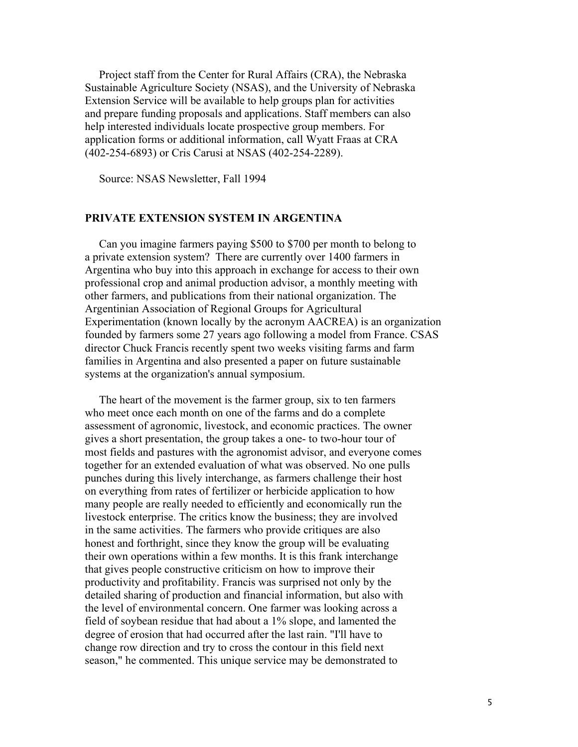Project staff from the Center for Rural Affairs (CRA), the Nebraska Sustainable Agriculture Society (NSAS), and the University of Nebraska Extension Service will be available to help groups plan for activities and prepare funding proposals and applications. Staff members can also help interested individuals locate prospective group members. For application forms or additional information, call Wyatt Fraas at CRA (402-254-6893) or Cris Carusi at NSAS (402-254-2289).

Source: NSAS Newsletter, Fall 1994

#### **PRIVATE EXTENSION SYSTEM IN ARGENTINA**

 Can you imagine farmers paying \$500 to \$700 per month to belong to a private extension system? There are currently over 1400 farmers in Argentina who buy into this approach in exchange for access to their own professional crop and animal production advisor, a monthly meeting with other farmers, and publications from their national organization. The Argentinian Association of Regional Groups for Agricultural Experimentation (known locally by the acronym AACREA) is an organization founded by farmers some 27 years ago following a model from France. CSAS director Chuck Francis recently spent two weeks visiting farms and farm families in Argentina and also presented a paper on future sustainable systems at the organization's annual symposium.

 The heart of the movement is the farmer group, six to ten farmers who meet once each month on one of the farms and do a complete assessment of agronomic, livestock, and economic practices. The owner gives a short presentation, the group takes a one- to two-hour tour of most fields and pastures with the agronomist advisor, and everyone comes together for an extended evaluation of what was observed. No one pulls punches during this lively interchange, as farmers challenge their host on everything from rates of fertilizer or herbicide application to how many people are really needed to efficiently and economically run the livestock enterprise. The critics know the business; they are involved in the same activities. The farmers who provide critiques are also honest and forthright, since they know the group will be evaluating their own operations within a few months. It is this frank interchange that gives people constructive criticism on how to improve their productivity and profitability. Francis was surprised not only by the detailed sharing of production and financial information, but also with the level of environmental concern. One farmer was looking across a field of soybean residue that had about a 1% slope, and lamented the degree of erosion that had occurred after the last rain. "I'll have to change row direction and try to cross the contour in this field next season," he commented. This unique service may be demonstrated to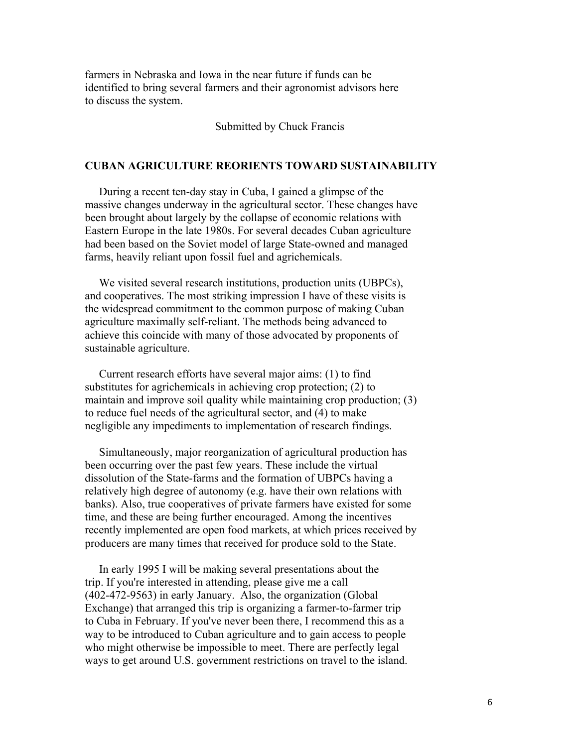farmers in Nebraska and Iowa in the near future if funds can be identified to bring several farmers and their agronomist advisors here to discuss the system.

#### Submitted by Chuck Francis

#### **CUBAN AGRICULTURE REORIENTS TOWARD SUSTAINABILITY**

 During a recent ten-day stay in Cuba, I gained a glimpse of the massive changes underway in the agricultural sector. These changes have been brought about largely by the collapse of economic relations with Eastern Europe in the late 1980s. For several decades Cuban agriculture had been based on the Soviet model of large State-owned and managed farms, heavily reliant upon fossil fuel and agrichemicals.

 We visited several research institutions, production units (UBPCs), and cooperatives. The most striking impression I have of these visits is the widespread commitment to the common purpose of making Cuban agriculture maximally self-reliant. The methods being advanced to achieve this coincide with many of those advocated by proponents of sustainable agriculture.

 Current research efforts have several major aims: (1) to find substitutes for agrichemicals in achieving crop protection; (2) to maintain and improve soil quality while maintaining crop production; (3) to reduce fuel needs of the agricultural sector, and (4) to make negligible any impediments to implementation of research findings.

 Simultaneously, major reorganization of agricultural production has been occurring over the past few years. These include the virtual dissolution of the State-farms and the formation of UBPCs having a relatively high degree of autonomy (e.g. have their own relations with banks). Also, true cooperatives of private farmers have existed for some time, and these are being further encouraged. Among the incentives recently implemented are open food markets, at which prices received by producers are many times that received for produce sold to the State.

 In early 1995 I will be making several presentations about the trip. If you're interested in attending, please give me a call (402-472-9563) in early January. Also, the organization (Global Exchange) that arranged this trip is organizing a farmer-to-farmer trip to Cuba in February. If you've never been there, I recommend this as a way to be introduced to Cuban agriculture and to gain access to people who might otherwise be impossible to meet. There are perfectly legal ways to get around U.S. government restrictions on travel to the island.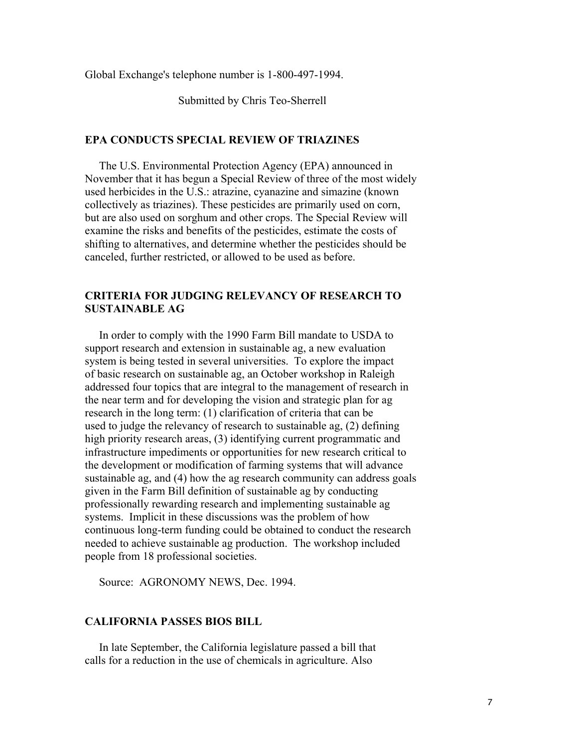Global Exchange's telephone number is 1-800-497-1994.

Submitted by Chris Teo-Sherrell

#### **EPA CONDUCTS SPECIAL REVIEW OF TRIAZINES**

 The U.S. Environmental Protection Agency (EPA) announced in November that it has begun a Special Review of three of the most widely used herbicides in the U.S.: atrazine, cyanazine and simazine (known collectively as triazines). These pesticides are primarily used on corn, but are also used on sorghum and other crops. The Special Review will examine the risks and benefits of the pesticides, estimate the costs of shifting to alternatives, and determine whether the pesticides should be canceled, further restricted, or allowed to be used as before.

### **CRITERIA FOR JUDGING RELEVANCY OF RESEARCH TO SUSTAINABLE AG**

 In order to comply with the 1990 Farm Bill mandate to USDA to support research and extension in sustainable ag, a new evaluation system is being tested in several universities. To explore the impact of basic research on sustainable ag, an October workshop in Raleigh addressed four topics that are integral to the management of research in the near term and for developing the vision and strategic plan for ag research in the long term: (1) clarification of criteria that can be used to judge the relevancy of research to sustainable ag, (2) defining high priority research areas, (3) identifying current programmatic and infrastructure impediments or opportunities for new research critical to the development or modification of farming systems that will advance sustainable ag, and (4) how the ag research community can address goals given in the Farm Bill definition of sustainable ag by conducting professionally rewarding research and implementing sustainable ag systems. Implicit in these discussions was the problem of how continuous long-term funding could be obtained to conduct the research needed to achieve sustainable ag production. The workshop included people from 18 professional societies.

Source: AGRONOMY NEWS, Dec. 1994.

#### **CALIFORNIA PASSES BIOS BILL**

 In late September, the California legislature passed a bill that calls for a reduction in the use of chemicals in agriculture. Also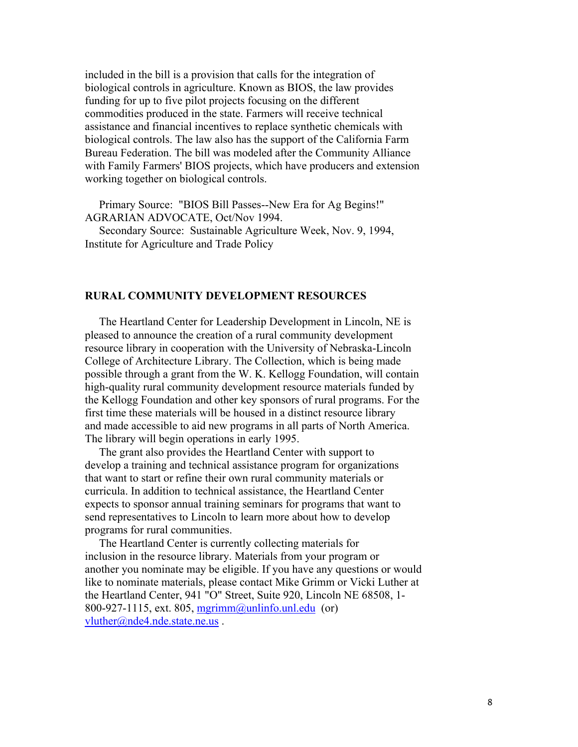included in the bill is a provision that calls for the integration of biological controls in agriculture. Known as BIOS, the law provides funding for up to five pilot projects focusing on the different commodities produced in the state. Farmers will receive technical assistance and financial incentives to replace synthetic chemicals with biological controls. The law also has the support of the California Farm Bureau Federation. The bill was modeled after the Community Alliance with Family Farmers' BIOS projects, which have producers and extension working together on biological controls.

 Primary Source: "BIOS Bill Passes--New Era for Ag Begins!" AGRARIAN ADVOCATE, Oct/Nov 1994.

 Secondary Source: Sustainable Agriculture Week, Nov. 9, 1994, Institute for Agriculture and Trade Policy

#### **RURAL COMMUNITY DEVELOPMENT RESOURCES**

 The Heartland Center for Leadership Development in Lincoln, NE is pleased to announce the creation of a rural community development resource library in cooperation with the University of Nebraska-Lincoln College of Architecture Library. The Collection, which is being made possible through a grant from the W. K. Kellogg Foundation, will contain high-quality rural community development resource materials funded by the Kellogg Foundation and other key sponsors of rural programs. For the first time these materials will be housed in a distinct resource library and made accessible to aid new programs in all parts of North America. The library will begin operations in early 1995.

 The grant also provides the Heartland Center with support to develop a training and technical assistance program for organizations that want to start or refine their own rural community materials or curricula. In addition to technical assistance, the Heartland Center expects to sponsor annual training seminars for programs that want to send representatives to Lincoln to learn more about how to develop programs for rural communities.

 The Heartland Center is currently collecting materials for inclusion in the resource library. Materials from your program or another you nominate may be eligible. If you have any questions or would like to nominate materials, please contact Mike Grimm or Vicki Luther at the Heartland Center, 941 "O" Street, Suite 920, Lincoln NE 68508, 1- 800-927-1115, ext. 805, mgrimm@unlinfo.unl.edu (or) vluther@nde4.nde.state.ne.us .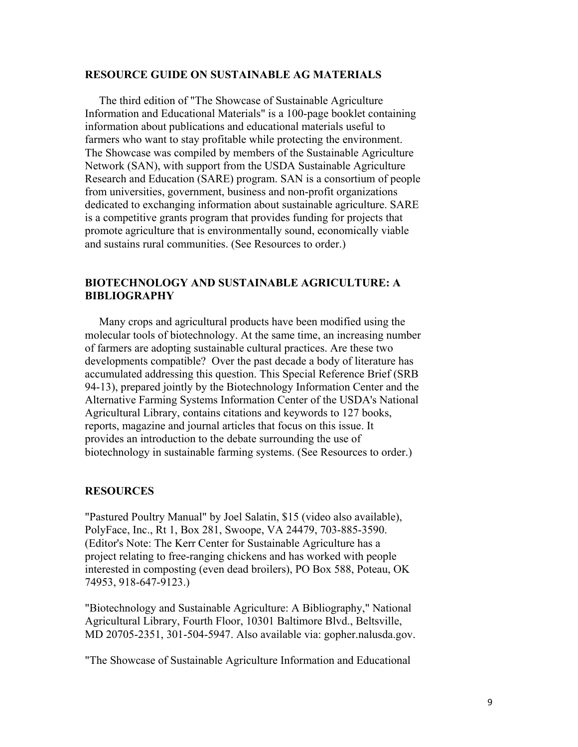#### **RESOURCE GUIDE ON SUSTAINABLE AG MATERIALS**

 The third edition of "The Showcase of Sustainable Agriculture Information and Educational Materials" is a 100-page booklet containing information about publications and educational materials useful to farmers who want to stay profitable while protecting the environment. The Showcase was compiled by members of the Sustainable Agriculture Network (SAN), with support from the USDA Sustainable Agriculture Research and Education (SARE) program. SAN is a consortium of people from universities, government, business and non-profit organizations dedicated to exchanging information about sustainable agriculture. SARE is a competitive grants program that provides funding for projects that promote agriculture that is environmentally sound, economically viable and sustains rural communities. (See Resources to order.)

#### **BIOTECHNOLOGY AND SUSTAINABLE AGRICULTURE: A BIBLIOGRAPHY**

 Many crops and agricultural products have been modified using the molecular tools of biotechnology. At the same time, an increasing number of farmers are adopting sustainable cultural practices. Are these two developments compatible? Over the past decade a body of literature has accumulated addressing this question. This Special Reference Brief (SRB 94-13), prepared jointly by the Biotechnology Information Center and the Alternative Farming Systems Information Center of the USDA's National Agricultural Library, contains citations and keywords to 127 books, reports, magazine and journal articles that focus on this issue. It provides an introduction to the debate surrounding the use of biotechnology in sustainable farming systems. (See Resources to order.)

#### **RESOURCES**

"Pastured Poultry Manual" by Joel Salatin, \$15 (video also available), PolyFace, Inc., Rt 1, Box 281, Swoope, VA 24479, 703-885-3590. (Editor's Note: The Kerr Center for Sustainable Agriculture has a project relating to free-ranging chickens and has worked with people interested in composting (even dead broilers), PO Box 588, Poteau, OK 74953, 918-647-9123.)

"Biotechnology and Sustainable Agriculture: A Bibliography," National Agricultural Library, Fourth Floor, 10301 Baltimore Blvd., Beltsville, MD 20705-2351, 301-504-5947. Also available via: gopher.nalusda.gov.

"The Showcase of Sustainable Agriculture Information and Educational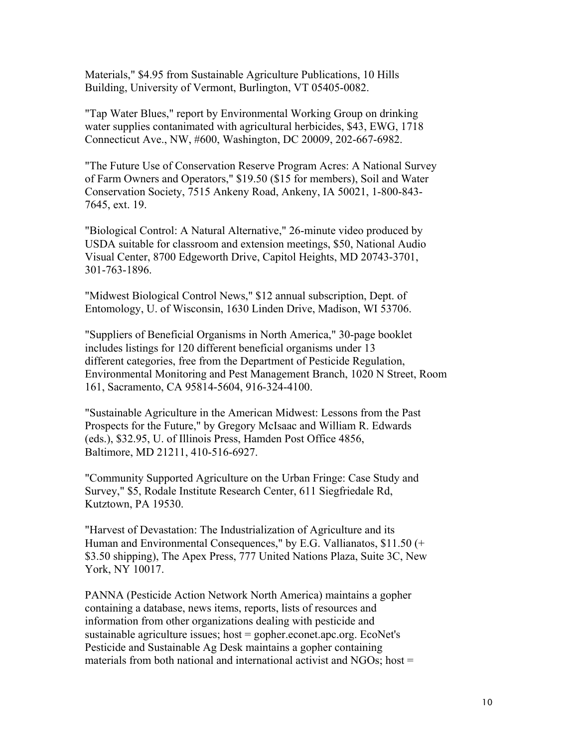Materials," \$4.95 from Sustainable Agriculture Publications, 10 Hills Building, University of Vermont, Burlington, VT 05405-0082.

"Tap Water Blues," report by Environmental Working Group on drinking water supplies contanimated with agricultural herbicides, \$43, EWG, 1718 Connecticut Ave., NW, #600, Washington, DC 20009, 202-667-6982.

"The Future Use of Conservation Reserve Program Acres: A National Survey of Farm Owners and Operators," \$19.50 (\$15 for members), Soil and Water Conservation Society, 7515 Ankeny Road, Ankeny, IA 50021, 1-800-843- 7645, ext. 19.

"Biological Control: A Natural Alternative," 26-minute video produced by USDA suitable for classroom and extension meetings, \$50, National Audio Visual Center, 8700 Edgeworth Drive, Capitol Heights, MD 20743-3701, 301-763-1896.

"Midwest Biological Control News," \$12 annual subscription, Dept. of Entomology, U. of Wisconsin, 1630 Linden Drive, Madison, WI 53706.

"Suppliers of Beneficial Organisms in North America," 30-page booklet includes listings for 120 different beneficial organisms under 13 different categories, free from the Department of Pesticide Regulation, Environmental Monitoring and Pest Management Branch, 1020 N Street, Room 161, Sacramento, CA 95814-5604, 916-324-4100.

"Sustainable Agriculture in the American Midwest: Lessons from the Past Prospects for the Future," by Gregory McIsaac and William R. Edwards (eds.), \$32.95, U. of Illinois Press, Hamden Post Office 4856, Baltimore, MD 21211, 410-516-6927.

"Community Supported Agriculture on the Urban Fringe: Case Study and Survey," \$5, Rodale Institute Research Center, 611 Siegfriedale Rd, Kutztown, PA 19530.

"Harvest of Devastation: The Industrialization of Agriculture and its Human and Environmental Consequences," by E.G. Vallianatos, \$11.50 (+ \$3.50 shipping), The Apex Press, 777 United Nations Plaza, Suite 3C, New York, NY 10017.

PANNA (Pesticide Action Network North America) maintains a gopher containing a database, news items, reports, lists of resources and information from other organizations dealing with pesticide and sustainable agriculture issues; host = gopher.econet.apc.org. EcoNet's Pesticide and Sustainable Ag Desk maintains a gopher containing materials from both national and international activist and  $NGOs$ ; host =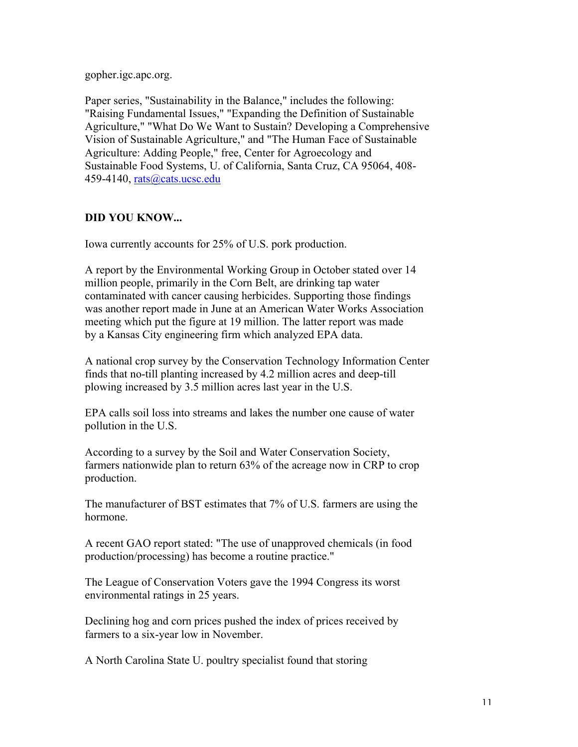gopher.igc.apc.org.

Paper series, "Sustainability in the Balance," includes the following: "Raising Fundamental Issues," "Expanding the Definition of Sustainable Agriculture," "What Do We Want to Sustain? Developing a Comprehensive Vision of Sustainable Agriculture," and "The Human Face of Sustainable Agriculture: Adding People," free, Center for Agroecology and Sustainable Food Systems, U. of California, Santa Cruz, CA 95064, 408- 459-4140, rats@cats.ucsc.edu

## **DID YOU KNOW...**

Iowa currently accounts for 25% of U.S. pork production.

A report by the Environmental Working Group in October stated over 14 million people, primarily in the Corn Belt, are drinking tap water contaminated with cancer causing herbicides. Supporting those findings was another report made in June at an American Water Works Association meeting which put the figure at 19 million. The latter report was made by a Kansas City engineering firm which analyzed EPA data.

A national crop survey by the Conservation Technology Information Center finds that no-till planting increased by 4.2 million acres and deep-till plowing increased by 3.5 million acres last year in the U.S.

EPA calls soil loss into streams and lakes the number one cause of water pollution in the U.S.

According to a survey by the Soil and Water Conservation Society, farmers nationwide plan to return 63% of the acreage now in CRP to crop production.

The manufacturer of BST estimates that 7% of U.S. farmers are using the hormone.

A recent GAO report stated: "The use of unapproved chemicals (in food production/processing) has become a routine practice."

The League of Conservation Voters gave the 1994 Congress its worst environmental ratings in 25 years.

Declining hog and corn prices pushed the index of prices received by farmers to a six-year low in November.

A North Carolina State U. poultry specialist found that storing